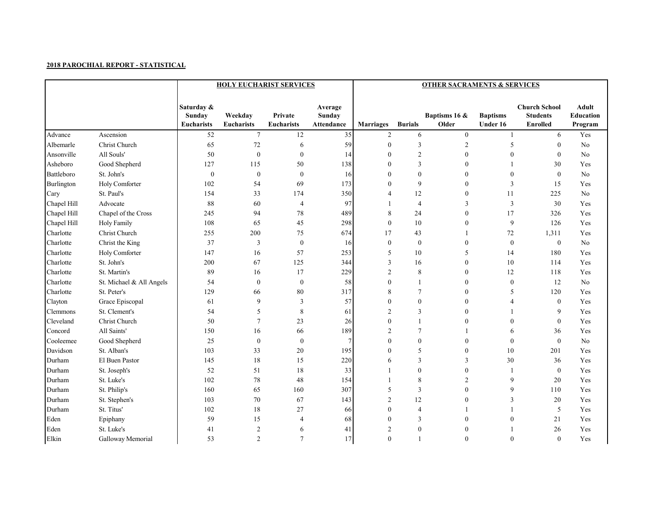|             |                          |                                           | <b>HOLY EUCHARIST SERVICES</b> |                              |                                        | <b>OTHER SACRAMENTS &amp; SERVICES</b> |                  |                        |                             |                                                            |                                      |  |  |
|-------------|--------------------------|-------------------------------------------|--------------------------------|------------------------------|----------------------------------------|----------------------------------------|------------------|------------------------|-----------------------------|------------------------------------------------------------|--------------------------------------|--|--|
|             |                          | Saturday &<br>Sunday<br><b>Eucharists</b> | Weekdav<br>Eucharists          | Private<br><b>Eucharists</b> | Average<br>Sunday<br><b>Attendance</b> | <b>Marriages</b>                       | <b>Burials</b>   | Baptisms 16 &<br>Older | <b>Baptisms</b><br>Under 16 | <b>Church School</b><br><b>Students</b><br><b>Enrolled</b> | Adult<br><b>Education</b><br>Program |  |  |
| Advance     | Ascension                | 52                                        | $\boldsymbol{7}$               | $12\,$                       | 35                                     | $\overline{2}$                         | 6                | $\boldsymbol{0}$       | $\mathbf{1}$                | 6                                                          | Yes                                  |  |  |
| Albemarle   | Christ Church            | 65                                        | $72\,$                         | 6                            | 59                                     | $\mathbf{0}$                           | 3                | $\overline{c}$         | 5                           | $\mathbf{0}$                                               | N <sub>o</sub>                       |  |  |
| Ansonville  | All Souls'               | 50                                        | $\boldsymbol{0}$               | $\bf{0}$                     | 14                                     | $\Omega$                               | $\overline{2}$   | $\boldsymbol{0}$       | $\boldsymbol{0}$            | $\mathbf{0}$                                               | N <sub>o</sub>                       |  |  |
| Asheboro    | Good Shepherd            | 127                                       | 115                            | $50\,$                       | 138                                    | $\Omega$                               | 3                | $\boldsymbol{0}$       | 1                           | 30                                                         | Yes                                  |  |  |
| Battleboro  | St. John's               | $\boldsymbol{0}$                          | $\boldsymbol{0}$               | $\boldsymbol{0}$             | 16                                     | $\Omega$                               | $\boldsymbol{0}$ | $\boldsymbol{0}$       | $\boldsymbol{0}$            | $\mathbf{0}$                                               | No                                   |  |  |
| Burlington  | Holy Comforter           | 102                                       | 54                             | 69                           | 173                                    | $\Omega$                               | 9                | $\boldsymbol{0}$       | 3                           | 15                                                         | Yes                                  |  |  |
| Cary        | St. Paul's               | 154                                       | 33                             | 174                          | 350                                    | $\overline{4}$                         | 12               | $\boldsymbol{0}$       | 11                          | 225                                                        | No                                   |  |  |
| Chapel Hill | Advocate                 | 88                                        | 60                             | $\overline{4}$               | 97                                     | $\mathbf{1}$                           | $\overline{4}$   | 3                      | 3                           | 30                                                         | Yes                                  |  |  |
| Chapel Hill | Chapel of the Cross      | 245                                       | 94                             | $78\,$                       | 489                                    | 8                                      | 24               | $\boldsymbol{0}$       | 17                          | 326                                                        | Yes                                  |  |  |
| Chapel Hill | <b>Holy Family</b>       | 108                                       | 65                             | 45                           | 298                                    | $\theta$                               | 10               | $\boldsymbol{0}$       | 9                           | 126                                                        | Yes                                  |  |  |
| Charlotte   | Christ Church            | 255                                       | 200                            | 75                           | 674                                    | 17                                     | 43               | 1                      | 72                          | 1,311                                                      | Yes                                  |  |  |
| Charlotte   | Christ the King          | 37                                        | $\mathbf{3}$                   | $\boldsymbol{0}$             | 16                                     | $\mathbf{0}$                           | $\bf{0}$         | $\boldsymbol{0}$       | $\boldsymbol{0}$            | $\boldsymbol{0}$                                           | No                                   |  |  |
| Charlotte   | Holy Comforter           | 147                                       | 16                             | 57                           | 253                                    | 5                                      | 10               | 5                      | 14                          | 180                                                        | Yes                                  |  |  |
| Charlotte   | St. John's               | 200                                       | 67                             | 125                          | 344                                    | 3                                      | 16               | $\boldsymbol{0}$       | 10                          | 114                                                        | Yes                                  |  |  |
| Charlotte   | St. Martin's             | 89                                        | 16                             | 17                           | 229                                    | $\overline{2}$                         | $\,$ 8 $\,$      | $\mathbf{0}$           | 12                          | 118                                                        | Yes                                  |  |  |
| Charlotte   | St. Michael & All Angels | 54                                        | $\boldsymbol{0}$               | $\boldsymbol{0}$             | 58                                     | $\mathbf{0}$                           | $\overline{1}$   | $\boldsymbol{0}$       | $\boldsymbol{0}$            | 12                                                         | No                                   |  |  |
| Charlotte   | St. Peter's              | 129                                       | 66                             | $\bf 80$                     | 317                                    | 8                                      | $\tau$           | $\boldsymbol{0}$       | 5                           | 120                                                        | Yes                                  |  |  |
| Clayton     | Grace Episcopal          | 61                                        | 9                              | $\overline{3}$               | 57                                     | $\theta$                               | $\mathbf{0}$     | $\mathbf{0}$           | 4                           | $\mathbf{0}$                                               | Yes                                  |  |  |
| Clemmons    | St. Clement's            | 54                                        | 5                              | $\,$ 8 $\,$                  | 61                                     | $\overline{2}$                         | 3                | $\mathbf{0}$           | 1                           | 9                                                          | Yes                                  |  |  |
| Cleveland   | Christ Church            | 50                                        | $\overline{7}$                 | 23                           | 26                                     | $\theta$                               | $\overline{1}$   | $\boldsymbol{0}$       | $\boldsymbol{0}$            | $\mathbf{0}$                                               | Yes                                  |  |  |
| Concord     | All Saints'              | 150                                       | 16                             | 66                           | 189                                    | $\overline{2}$                         | $\tau$           | 1                      | 6                           | 36                                                         | Yes                                  |  |  |
| Cooleemee   | Good Shepherd            | 25                                        | $\bf{0}$                       | $\boldsymbol{0}$             | 7                                      | $\theta$                               | $\boldsymbol{0}$ | $\boldsymbol{0}$       | $\boldsymbol{0}$            | $\mathbf{0}$                                               | N <sub>o</sub>                       |  |  |
| Davidson    | St. Alban's              | 103                                       | 33                             | 20                           | 195                                    | $\theta$                               | 5                | $\boldsymbol{0}$       | 10                          | 201                                                        | Yes                                  |  |  |
| Durham      | El Buen Pastor           | 145                                       | $18\,$                         | 15                           | $220\,$                                | 6                                      | 3                | 3                      | 30                          | 36                                                         | Yes                                  |  |  |
| Durham      | St. Joseph's             | 52                                        | 51                             | $18\,$                       | 33                                     | $\mathbf{1}$                           | $\boldsymbol{0}$ | $\boldsymbol{0}$       | $\mathbf{1}$                | $\mathbf{0}$                                               | Yes                                  |  |  |
| Durham      | St. Luke's               | 102                                       | 78                             | 48                           | 154                                    | $\mathbf{1}$                           | 8                | $\overline{c}$         | 9                           | 20                                                         | Yes                                  |  |  |
| Durham      | St. Philip's             | 160                                       | 65                             | 160                          | 307                                    | 5                                      | $\overline{3}$   | $\boldsymbol{0}$       | 9                           | 110                                                        | Yes                                  |  |  |
| Durham      | St. Stephen's            | 103                                       | $70\,$                         | 67                           | 143                                    | $\overline{2}$                         | 12               | $\boldsymbol{0}$       | 3                           | 20                                                         | Yes                                  |  |  |
| Durham      | St. Titus'               | 102                                       | 18                             | 27                           | 66                                     | $\mathbf{0}$                           | $\overline{4}$   | $\mathbf{1}$           | $\mathbf{1}$                | 5                                                          | Yes                                  |  |  |
| Eden        | Epiphany                 | 59                                        | 15                             | $\overline{4}$               | 68                                     | $\mathbf{0}$                           | 3                | $\boldsymbol{0}$       | $\boldsymbol{0}$            | 21                                                         | Yes                                  |  |  |
| Eden        | St. Luke's               | 41                                        | $\overline{2}$                 | 6                            | 41                                     | $\overline{2}$                         | $\mathbf{0}$     | $\mathbf{0}$           |                             | 26                                                         | Yes                                  |  |  |
| Elkin       | Galloway Memorial        | 53                                        | $\overline{2}$                 | $\overline{7}$               | 17                                     | $\Omega$                               | $\mathbf{1}$     | $\mathbf{0}$           | $\overline{0}$              | $\mathbf{0}$                                               | Yes                                  |  |  |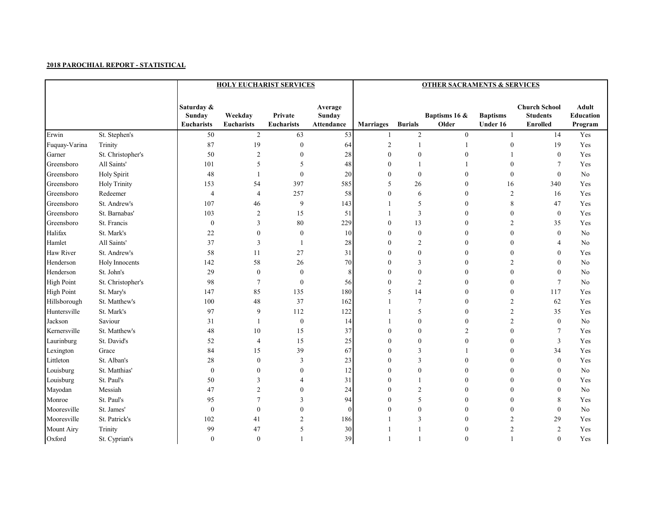|                   |                     |                                           | <b>HOLY EUCHARIST SERVICES</b> |                              | <b>OTHER SACRAMENTS &amp; SERVICES</b> |                  |                  |                        |                             |                                                            |                                      |
|-------------------|---------------------|-------------------------------------------|--------------------------------|------------------------------|----------------------------------------|------------------|------------------|------------------------|-----------------------------|------------------------------------------------------------|--------------------------------------|
|                   |                     | Saturday &<br>Sunday<br><b>Eucharists</b> | Weekday<br><b>Eucharists</b>   | Private<br><b>Eucharists</b> | Average<br>Sunday<br>Attendance        | <b>Marriages</b> | <b>Burials</b>   | Baptisms 16 &<br>Older | <b>Baptisms</b><br>Under 16 | <b>Church School</b><br><b>Students</b><br><b>Enrolled</b> | <b>Adult</b><br>Education<br>Program |
| Erwin             | St. Stephen's       | 50                                        | $\sqrt{2}$                     | 63                           | 53                                     | 1                | $\sqrt{2}$       | $\boldsymbol{0}$       | $\mathbf{1}$                | 14                                                         | Yes                                  |
| Fuquay-Varina     | Trinity             | 87                                        | 19                             | $\boldsymbol{0}$             | 64                                     | $\sqrt{2}$       | $\mathbf{1}$     | $\mathbf{1}$           | $\boldsymbol{0}$            | 19                                                         | Yes                                  |
| Garner            | St. Christopher's   | 50                                        | $\overline{2}$                 | $\bf{0}$                     | 28                                     | $\mathbf{0}$     | $\boldsymbol{0}$ | $\boldsymbol{0}$       | 1                           | $\overline{0}$                                             | Yes                                  |
| Greensboro        | All Saints'         | 101                                       | 5                              | 5                            | 48                                     | $\Omega$         | $\mathbf{1}$     |                        | $\boldsymbol{0}$            | $\overline{7}$                                             | Yes                                  |
| Greensboro        | Holy Spirit         | 48                                        | $\overline{\phantom{a}}$       | $\bf{0}$                     | 20                                     | $\mathbf{0}$     | $\boldsymbol{0}$ | $\boldsymbol{0}$       | $\boldsymbol{0}$            | $\mathbf{0}$                                               | No                                   |
| Greensboro        | <b>Holy Trinity</b> | 153                                       | 54                             | 397                          | 585                                    | 5                | 26               | $\boldsymbol{0}$       | 16                          | 340                                                        | Yes                                  |
| Greensboro        | Redeemer            | $\overline{4}$                            | $\overline{4}$                 | 257                          | 58                                     | $\theta$         | 6                | $\boldsymbol{0}$       | $\overline{c}$              | 16                                                         | Yes                                  |
| Greensboro        | St. Andrew's        | 107                                       | 46                             | 9                            | 143                                    |                  | 5                | $\boldsymbol{0}$       | $\,8$                       | 47                                                         | Yes                                  |
| Greensboro        | St. Barnabas'       | 103                                       | $\overline{c}$                 | 15                           | 51                                     | $\mathbf{1}$     | 3                | $\boldsymbol{0}$       | $\boldsymbol{0}$            | $\bf{0}$                                                   | Yes                                  |
| Greensboro        | St. Francis         | $\boldsymbol{0}$                          | 3                              | $\bf 80$                     | 229                                    | $\mathbf{0}$     | 13               | $\boldsymbol{0}$       | $\overline{c}$              | 35                                                         | Yes                                  |
| Halifax           | St. Mark's          | 22                                        | $\boldsymbol{0}$               | $\bf{0}$                     | 10                                     | $\theta$         | $\boldsymbol{0}$ | $\boldsymbol{0}$       | $\boldsymbol{0}$            | $\mathbf{0}$                                               | No                                   |
| Hamlet            | All Saints'         | 37                                        | 3                              | $\mathbf{1}$                 | 28                                     | $\theta$         | $\overline{c}$   | $\boldsymbol{0}$       | $\boldsymbol{0}$            | $\overline{4}$                                             | No                                   |
| <b>Haw River</b>  | St. Andrew's        | 58                                        | 11                             | 27                           | 31                                     | $\Omega$         | $\boldsymbol{0}$ | $\boldsymbol{0}$       | $\boldsymbol{0}$            | $\mathbf{0}$                                               | Yes                                  |
| Henderson         | Holy Innocents      | 142                                       | 58                             | 26                           | 70                                     | $\theta$         | 3                | $\boldsymbol{0}$       | 2                           | $\mathbf{0}$                                               | No                                   |
| Henderson         | St. John's          | 29                                        | $\boldsymbol{0}$               | $\boldsymbol{0}$             | 8                                      | $\theta$         | $\boldsymbol{0}$ | $\boldsymbol{0}$       | $\boldsymbol{0}$            | $\boldsymbol{0}$                                           | No                                   |
| <b>High Point</b> | St. Christopher's   | 98                                        | $\overline{7}$                 | $\bf{0}$                     | 56                                     | $\Omega$         | $\overline{2}$   | $\boldsymbol{0}$       | $\boldsymbol{0}$            | $\tau$                                                     | No                                   |
| <b>High Point</b> | St. Mary's          | 147                                       | 85                             | 135                          | 180                                    | 5                | 14               | $\boldsymbol{0}$       | $\boldsymbol{0}$            | 117                                                        | Yes                                  |
| Hillsborough      | St. Matthew's       | 100                                       | 48                             | 37                           | 162                                    | $\mathbf{1}$     | $\tau$           | $\boldsymbol{0}$       | $\overline{c}$              | 62                                                         | Yes                                  |
| Huntersville      | St. Mark's          | 97                                        | $\overline{9}$                 | 112                          | 122                                    | $\mathbf{1}$     | 5                | $\boldsymbol{0}$       | $\overline{c}$              | 35                                                         | Yes                                  |
| Jackson           | Saviour             | 31                                        | $\overline{1}$                 | $\boldsymbol{0}$             | 14                                     | $\mathbf{1}$     | $\boldsymbol{0}$ | $\boldsymbol{0}$       | $\overline{c}$              | $\mathbf{0}$                                               | No                                   |
| Kernersville      | St. Matthew's       | 48                                        | 10                             | 15                           | 37                                     | $\theta$         | $\boldsymbol{0}$ | $\overline{c}$         | $\boldsymbol{0}$            | $\tau$                                                     | Yes                                  |
| Laurinburg        | St. David's         | 52                                        | $\overline{4}$                 | 15                           | 25                                     | $\theta$         | $\boldsymbol{0}$ | $\boldsymbol{0}$       | $\boldsymbol{0}$            | $\overline{3}$                                             | Yes                                  |
| Lexington         | Grace               | 84                                        | 15                             | 39                           | 67                                     | $\theta$         | 3                | 1                      | $\boldsymbol{0}$            | 34                                                         | Yes                                  |
| Littleton         | St. Alban's         | 28                                        | $\boldsymbol{0}$               | 3                            | 23                                     | $\theta$         | 3                | $\mathbf{0}$           | $\mathbf{0}$                | $\mathbf{0}$                                               | Yes                                  |
| Louisburg         | St. Matthias'       | $\boldsymbol{0}$                          | $\boldsymbol{0}$               | $\bf{0}$                     | 12                                     | $\theta$         | $\boldsymbol{0}$ | $\boldsymbol{0}$       | $\boldsymbol{0}$            | $\mathbf{0}$                                               | No                                   |
| Louisburg         | St. Paul's          | 50                                        | 3                              | 4                            | 31                                     | $\theta$         | $\mathbf{1}$     | $\boldsymbol{0}$       | $\boldsymbol{0}$            | $\mathbf{0}$                                               | Yes                                  |
| Mayodan           | Messiah             | 47                                        | $\overline{2}$                 | $\mathbf{0}$                 | 24                                     | $\theta$         | $\overline{2}$   | $\mathbf{0}$           | $\mathbf{0}$                | $\mathbf{0}$                                               | N <sub>o</sub>                       |
| Monroe            | St. Paul's          | 95                                        | $\overline{7}$                 | 3                            | 94                                     | $\theta$         | 5                | $\mathbf{0}$           | $\mathbf{0}$                | 8                                                          | Yes                                  |
| Mooresville       | St. James'          | $\boldsymbol{0}$                          | $\boldsymbol{0}$               | $\mathbf{0}$                 | $\mathbf{0}$                           | $\theta$         | $\boldsymbol{0}$ | $\boldsymbol{0}$       | $\boldsymbol{0}$            | $\boldsymbol{0}$                                           | No                                   |
| Mooresville       | St. Patrick's       | 102                                       | 41                             | $\overline{c}$               | 186                                    |                  | 3                | $\boldsymbol{0}$       | $\overline{c}$              | 29                                                         | Yes                                  |
| <b>Mount Airy</b> | Trinity             | 99                                        | 47                             | 5                            | 30                                     | $\mathbf{1}$     | $\overline{1}$   | $\mathbf{0}$           | $\overline{2}$              | $\overline{2}$                                             | Yes                                  |
| Oxford            | St. Cyprian's       | $\mathbf{0}$                              | $\mathbf{0}$                   | 1                            | 39                                     | $\mathbf{1}$     | $\mathbf{1}$     | $\mathbf{0}$           | 1                           | $\mathbf{0}$                                               | Yes                                  |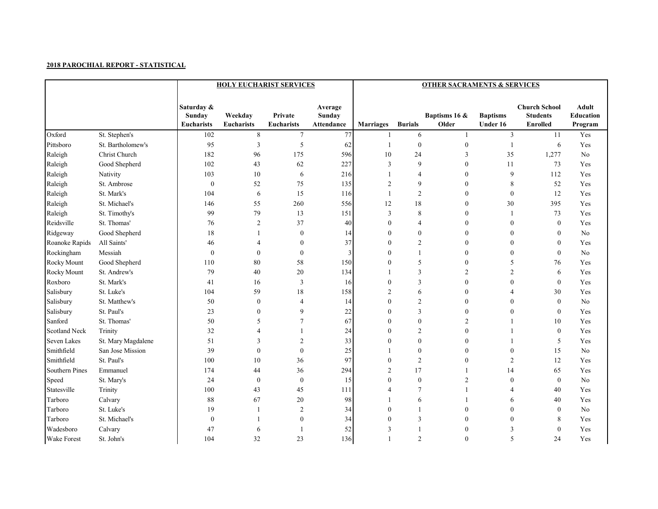|                      |                    |                                           | <b>HOLY EUCHARIST SERVICES</b> |                              | <b>OTHER SACRAMENTS &amp; SERVICES</b> |                  |                  |                        |                             |                                                            |                               |  |
|----------------------|--------------------|-------------------------------------------|--------------------------------|------------------------------|----------------------------------------|------------------|------------------|------------------------|-----------------------------|------------------------------------------------------------|-------------------------------|--|
|                      |                    | Saturday &<br>Sunday<br><b>Eucharists</b> | Weekday<br><b>Eucharists</b>   | Private<br><b>Eucharists</b> | Average<br><b>Sunday</b><br>Attendance | <b>Marriages</b> | <b>Burials</b>   | Baptisms 16 &<br>Older | <b>Baptisms</b><br>Under 16 | <b>Church School</b><br><b>Students</b><br><b>Enrolled</b> | Adult<br>Education<br>Program |  |
| Oxford               | St. Stephen's      | 102                                       | $\,8\,$                        | $7\phantom{.0}$              | 77                                     | 1                | 6                | $\mathbf{1}$           | 3                           | 11                                                         | Yes                           |  |
| Pittsboro            | St. Bartholomew's  | 95                                        | $\mathfrak{Z}$                 | $\mathfrak{S}$               | 62                                     | $\mathbf{1}$     | $\boldsymbol{0}$ | $\boldsymbol{0}$       | $\mathbf{1}$                | $\sqrt{6}$                                                 | Yes                           |  |
| Raleigh              | Christ Church      | 182                                       | 96                             | 175                          | 596                                    | 10               | 24               | 3                      | 35                          | 1,277                                                      | No                            |  |
| Raleigh              | Good Shepherd      | 102                                       | 43                             | 62                           | 227                                    | 3                | 9                | $\boldsymbol{0}$       | 11                          | 73                                                         | Yes                           |  |
| Raleigh              | Nativity           | 103                                       | 10                             | 6                            | 216                                    | 1                | 4                | $\boldsymbol{0}$       | 9                           | 112                                                        | Yes                           |  |
| Raleigh              | St. Ambrose        | $\boldsymbol{0}$                          | 52                             | 75                           | 135                                    | $\overline{2}$   | 9                | $\boldsymbol{0}$       | 8                           | 52                                                         | Yes                           |  |
| Raleigh              | St. Mark's         | 104                                       | 6                              | 15                           | 116                                    | $\overline{1}$   | $\overline{2}$   | $\boldsymbol{0}$       | $\boldsymbol{0}$            | 12                                                         | Yes                           |  |
| Raleigh              | St. Michael's      | 146                                       | 55                             | 260                          | 556                                    | 12               | 18               | $\boldsymbol{0}$       | 30                          | 395                                                        | Yes                           |  |
| Raleigh              | St. Timothy's      | 99                                        | 79                             | 13                           | 151                                    | 3                | 8                | $\boldsymbol{0}$       | 1                           | 73                                                         | Yes                           |  |
| Reidsville           | St. Thomas'        | 76                                        | $\overline{c}$                 | 37                           | 40                                     | $\mathbf{0}$     | 4                | $\boldsymbol{0}$       | $\boldsymbol{0}$            | $\boldsymbol{0}$                                           | Yes                           |  |
| Ridgeway             | Good Shepherd      | 18                                        | -1                             | $\boldsymbol{0}$             | 14                                     | $\Omega$         | $\mathbf{0}$     | $\boldsymbol{0}$       | $\boldsymbol{0}$            | $\mathbf{0}$                                               | No                            |  |
| Roanoke Rapids       | All Saints'        | 46                                        | 4                              | $\boldsymbol{0}$             | 37                                     | $\theta$         | $\overline{c}$   | $\boldsymbol{0}$       | $\boldsymbol{0}$            | $\boldsymbol{0}$                                           | Yes                           |  |
| Rockingham           | Messiah            | $\boldsymbol{0}$                          | $\boldsymbol{0}$               | $\boldsymbol{0}$             | 3                                      | $\theta$         | $\mathbf{1}$     | $\boldsymbol{0}$       | $\boldsymbol{0}$            | $\boldsymbol{0}$                                           | No                            |  |
| Rocky Mount          | Good Shepherd      | 110                                       | 80                             | 58                           | 150                                    | $\Omega$         | 5                | $\boldsymbol{0}$       | 5                           | 76                                                         | Yes                           |  |
| Rocky Mount          | St. Andrew's       | 79                                        | 40                             | $20\,$                       | 134                                    |                  | 3                | $\overline{c}$         | $\overline{c}$              | 6                                                          | Yes                           |  |
| Roxboro              | St. Mark's         | 41                                        | 16                             | $\overline{3}$               | 16                                     | $\mathbf{0}$     | 3                | $\boldsymbol{0}$       | $\boldsymbol{0}$            | $\boldsymbol{0}$                                           | Yes                           |  |
| Salisbury            | St. Luke's         | 104                                       | 59                             | 18                           | 158                                    | $\overline{2}$   | 6                | $\boldsymbol{0}$       | $\overline{4}$              | 30                                                         | Yes                           |  |
| Salisbury            | St. Matthew's      | 50                                        | $\bf{0}$                       | $\overline{4}$               | 14                                     | $\Omega$         | $\overline{2}$   | $\boldsymbol{0}$       | $\boldsymbol{0}$            | $\mathbf{0}$                                               | No                            |  |
| Salisbury            | St. Paul's         | 23                                        | $\boldsymbol{0}$               | 9                            | 22                                     | $\theta$         | 3                | $\boldsymbol{0}$       | $\boldsymbol{0}$            | $\mathbf{0}$                                               | Yes                           |  |
| Sanford              | St. Thomas'        | 50                                        | 5                              | $\overline{7}$               | 67                                     | $\theta$         | $\boldsymbol{0}$ | $\overline{c}$         | 1                           | 10                                                         | Yes                           |  |
| <b>Scotland Neck</b> | Trinity            | 32                                        | $\overline{4}$                 | $\mathbf{1}$                 | 24                                     | $\Omega$         | $\overline{2}$   | $\boldsymbol{0}$       | 1                           | $\mathbf{0}$                                               | Yes                           |  |
| Seven Lakes          | St. Mary Magdalene | 51                                        | 3                              | $\overline{2}$               | 33                                     | $\theta$         | $\boldsymbol{0}$ | $\boldsymbol{0}$       | 1                           | 5                                                          | Yes                           |  |
| Smithfield           | San Jose Mission   | 39                                        | $\boldsymbol{0}$               | $\boldsymbol{0}$             | 25                                     | $\mathbf{1}$     | $\boldsymbol{0}$ | $\boldsymbol{0}$       | $\boldsymbol{0}$            | 15                                                         | No                            |  |
| Smithfield           | St. Paul's         | 100                                       | 10                             | 36                           | 97                                     | $\mathbf{0}$     | 2                | $\boldsymbol{0}$       | 2                           | 12                                                         | Yes                           |  |
| Southern Pines       | Emmanuel           | 174                                       | 44                             | 36                           | 294                                    | $\overline{2}$   | 17               | 1                      | 14                          | 65                                                         | Yes                           |  |
| Speed                | St. Mary's         | 24                                        | $\boldsymbol{0}$               | $\boldsymbol{0}$             | 15                                     | $\mathbf{0}$     | $\boldsymbol{0}$ | $\sqrt{2}$             | $\boldsymbol{0}$            | $\mathbf{0}$                                               | No                            |  |
| Statesville          | Trinity            | 100                                       | 43                             | 45                           | 111                                    | 4                | $\tau$           | 1                      | 4                           | 40                                                         | Yes                           |  |
| Tarboro              | Calvary            | 88                                        | 67                             | 20                           | 98                                     |                  | 6                | 1                      | 6                           | 40                                                         | Yes                           |  |
| Tarboro              | St. Luke's         | 19                                        | 1                              | $\overline{2}$               | 34                                     | $\mathbf{0}$     | $\mathbf{1}$     | $\boldsymbol{0}$       | $\boldsymbol{0}$            | $\boldsymbol{0}$                                           | No                            |  |
| Tarboro              | St. Michael's      | $\boldsymbol{0}$                          | $\mathbf{1}$                   | $\boldsymbol{0}$             | 34                                     | $\theta$         | 3                | $\boldsymbol{0}$       | $\boldsymbol{0}$            | 8                                                          | Yes                           |  |
| Wadesboro            | Calvary            | 47                                        | 6                              | $\overline{1}$               | 52                                     | 3                | $\overline{1}$   | $\mathbf{0}$           | 3                           | $\mathbf{0}$                                               | Yes                           |  |
| <b>Wake Forest</b>   | St. John's         | 104                                       | 32                             | 23                           | 136                                    | $\mathbf{1}$     | $\overline{2}$   | $\mathbf{0}$           | 5                           | 24                                                         | Yes                           |  |